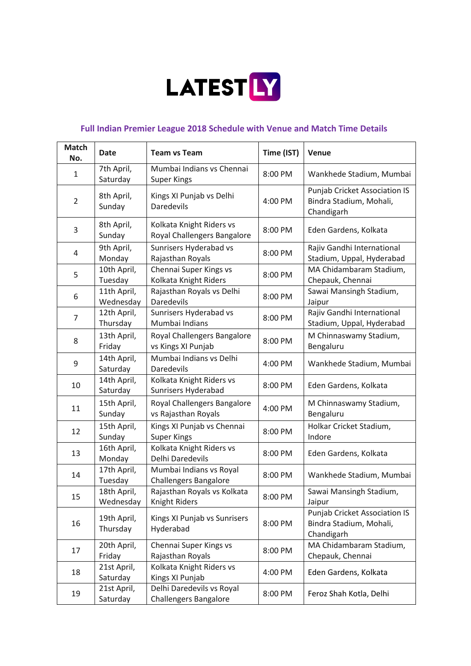

## **Full Indian Premier League 2018 Schedule with Venue and Match Time Details**

| <b>Match</b><br>No. | <b>Date</b>              | <b>Team vs Team</b>                                       | Time (IST) | Venue                                                                         |
|---------------------|--------------------------|-----------------------------------------------------------|------------|-------------------------------------------------------------------------------|
| 1                   | 7th April,<br>Saturday   | Mumbai Indians vs Chennai<br><b>Super Kings</b>           | 8:00 PM    | Wankhede Stadium, Mumbai                                                      |
| $\overline{2}$      | 8th April,<br>Sunday     | Kings XI Punjab vs Delhi<br>Daredevils                    | 4:00 PM    | <b>Punjab Cricket Association IS</b><br>Bindra Stadium, Mohali,<br>Chandigarh |
| 3                   | 8th April,<br>Sunday     | Kolkata Knight Riders vs<br>Royal Challengers Bangalore   | 8:00 PM    | Eden Gardens, Kolkata                                                         |
| 4                   | 9th April,<br>Monday     | Sunrisers Hyderabad vs<br>Rajasthan Royals                | 8:00 PM    | Rajiv Gandhi International<br>Stadium, Uppal, Hyderabad                       |
| 5                   | 10th April,<br>Tuesday   | Chennai Super Kings vs<br>Kolkata Knight Riders           | 8:00 PM    | MA Chidambaram Stadium,<br>Chepauk, Chennai                                   |
| 6                   | 11th April,<br>Wednesday | Rajasthan Royals vs Delhi<br><b>Daredevils</b>            | 8:00 PM    | Sawai Mansingh Stadium,<br>Jaipur                                             |
| $\overline{7}$      | 12th April,<br>Thursday  | Sunrisers Hyderabad vs<br>Mumbai Indians                  | 8:00 PM    | Rajiv Gandhi International<br>Stadium, Uppal, Hyderabad                       |
| 8                   | 13th April,<br>Friday    | Royal Challengers Bangalore<br>vs Kings XI Punjab         | 8:00 PM    | M Chinnaswamy Stadium,<br>Bengaluru                                           |
| 9                   | 14th April,<br>Saturday  | Mumbai Indians vs Delhi<br>Daredevils                     | 4:00 PM    | Wankhede Stadium, Mumbai                                                      |
| 10                  | 14th April,<br>Saturday  | Kolkata Knight Riders vs<br>Sunrisers Hyderabad           | 8:00 PM    | Eden Gardens, Kolkata                                                         |
| 11                  | 15th April,<br>Sunday    | Royal Challengers Bangalore<br>vs Rajasthan Royals        | 4:00 PM    | M Chinnaswamy Stadium,<br>Bengaluru                                           |
| 12                  | 15th April,<br>Sunday    | Kings XI Punjab vs Chennai<br><b>Super Kings</b>          | 8:00 PM    | Holkar Cricket Stadium,<br>Indore                                             |
| 13                  | 16th April,<br>Monday    | Kolkata Knight Riders vs<br>Delhi Daredevils              | 8:00 PM    | Eden Gardens, Kolkata                                                         |
| 14                  | 17th April,<br>Tuesday   | Mumbai Indians vs Royal<br><b>Challengers Bangalore</b>   | 8:00 PM    | Wankhede Stadium, Mumbai                                                      |
| 15                  | 18th April,<br>Wednesday | Rajasthan Royals vs Kolkata<br>Knight Riders              | 8:00 PM    | Sawai Mansingh Stadium,<br>Jaipur                                             |
| 16                  | 19th April,<br>Thursday  | Kings XI Punjab vs Sunrisers<br>Hyderabad                 | 8:00 PM    | <b>Punjab Cricket Association IS</b><br>Bindra Stadium, Mohali,<br>Chandigarh |
| 17                  | 20th April,<br>Friday    | Chennai Super Kings vs<br>Rajasthan Royals                | 8:00 PM    | MA Chidambaram Stadium,<br>Chepauk, Chennai                                   |
| 18                  | 21st April,<br>Saturday  | Kolkata Knight Riders vs<br>Kings XI Punjab               | 4:00 PM    | Eden Gardens, Kolkata                                                         |
| 19                  | 21st April,<br>Saturday  | Delhi Daredevils vs Royal<br><b>Challengers Bangalore</b> | 8:00 PM    | Feroz Shah Kotla, Delhi                                                       |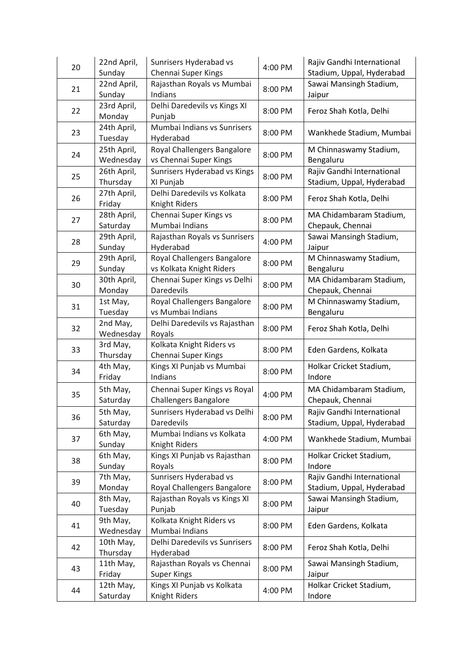| 20 | 22nd April,              | Sunrisers Hyderabad vs                                       | 4:00 PM | Rajiv Gandhi International                              |
|----|--------------------------|--------------------------------------------------------------|---------|---------------------------------------------------------|
|    | Sunday                   | Chennai Super Kings                                          |         | Stadium, Uppal, Hyderabad                               |
| 21 | 22nd April,<br>Sunday    | Rajasthan Royals vs Mumbai<br>Indians                        | 8:00 PM | Sawai Mansingh Stadium,<br>Jaipur                       |
| 22 | 23rd April,<br>Monday    | Delhi Daredevils vs Kings XI<br>Punjab                       | 8:00 PM | Feroz Shah Kotla, Delhi                                 |
| 23 | 24th April,<br>Tuesday   | Mumbai Indians vs Sunrisers<br>Hyderabad                     | 8:00 PM | Wankhede Stadium, Mumbai                                |
| 24 | 25th April,<br>Wednesday | Royal Challengers Bangalore<br>vs Chennai Super Kings        | 8:00 PM | M Chinnaswamy Stadium,<br>Bengaluru                     |
| 25 | 26th April,<br>Thursday  | Sunrisers Hyderabad vs Kings<br>XI Punjab                    | 8:00 PM | Rajiv Gandhi International<br>Stadium, Uppal, Hyderabad |
| 26 | 27th April,<br>Friday    | Delhi Daredevils vs Kolkata<br>Knight Riders                 | 8:00 PM | Feroz Shah Kotla, Delhi                                 |
| 27 | 28th April,<br>Saturday  | Chennai Super Kings vs<br>Mumbai Indians                     | 8:00 PM | MA Chidambaram Stadium,<br>Chepauk, Chennai             |
| 28 | 29th April,<br>Sunday    | Rajasthan Royals vs Sunrisers<br>Hyderabad                   | 4:00 PM | Sawai Mansingh Stadium,<br>Jaipur                       |
| 29 | 29th April,<br>Sunday    | Royal Challengers Bangalore<br>vs Kolkata Knight Riders      | 8:00 PM | M Chinnaswamy Stadium,<br>Bengaluru                     |
| 30 | 30th April,<br>Monday    | Chennai Super Kings vs Delhi<br>Daredevils                   | 8:00 PM | MA Chidambaram Stadium,<br>Chepauk, Chennai             |
| 31 | 1st May,<br>Tuesday      | Royal Challengers Bangalore<br>vs Mumbai Indians             | 8:00 PM | M Chinnaswamy Stadium,<br>Bengaluru                     |
| 32 | 2nd May,<br>Wednesday    | Delhi Daredevils vs Rajasthan<br>Royals                      | 8:00 PM | Feroz Shah Kotla, Delhi                                 |
| 33 | 3rd May,<br>Thursday     | Kolkata Knight Riders vs<br>Chennai Super Kings              | 8:00 PM | Eden Gardens, Kolkata                                   |
| 34 | 4th May,<br>Friday       | Kings XI Punjab vs Mumbai<br>Indians                         | 8:00 PM | Holkar Cricket Stadium,<br>Indore                       |
| 35 | 5th May,<br>Saturday     | Chennai Super Kings vs Royal<br><b>Challengers Bangalore</b> | 4:00 PM | MA Chidambaram Stadium,<br>Chepauk, Chennai             |
| 36 | 5th May,<br>Saturday     | Sunrisers Hyderabad vs Delhi<br>Daredevils                   | 8:00 PM | Rajiv Gandhi International<br>Stadium, Uppal, Hyderabad |
| 37 | 6th May,<br>Sunday       | Mumbai Indians vs Kolkata<br>Knight Riders                   | 4:00 PM | Wankhede Stadium, Mumbai                                |
| 38 | 6th May,<br>Sunday       | Kings XI Punjab vs Rajasthan<br>Royals                       | 8:00 PM | Holkar Cricket Stadium,<br>Indore                       |
| 39 | 7th May,<br>Monday       | Sunrisers Hyderabad vs<br>Royal Challengers Bangalore        | 8:00 PM | Rajiv Gandhi International<br>Stadium, Uppal, Hyderabad |
| 40 | 8th May,<br>Tuesday      | Rajasthan Royals vs Kings XI<br>Punjab                       | 8:00 PM | Sawai Mansingh Stadium,<br>Jaipur                       |
| 41 | 9th May,<br>Wednesday    | Kolkata Knight Riders vs<br>Mumbai Indians                   | 8:00 PM | Eden Gardens, Kolkata                                   |
| 42 | 10th May,<br>Thursday    | Delhi Daredevils vs Sunrisers<br>Hyderabad                   | 8:00 PM | Feroz Shah Kotla, Delhi                                 |
| 43 | 11th May,<br>Friday      | Rajasthan Royals vs Chennai<br><b>Super Kings</b>            | 8:00 PM | Sawai Mansingh Stadium,<br>Jaipur                       |
| 44 | 12th May,<br>Saturday    | Kings XI Punjab vs Kolkata<br>Knight Riders                  | 4:00 PM | Holkar Cricket Stadium,<br>Indore                       |